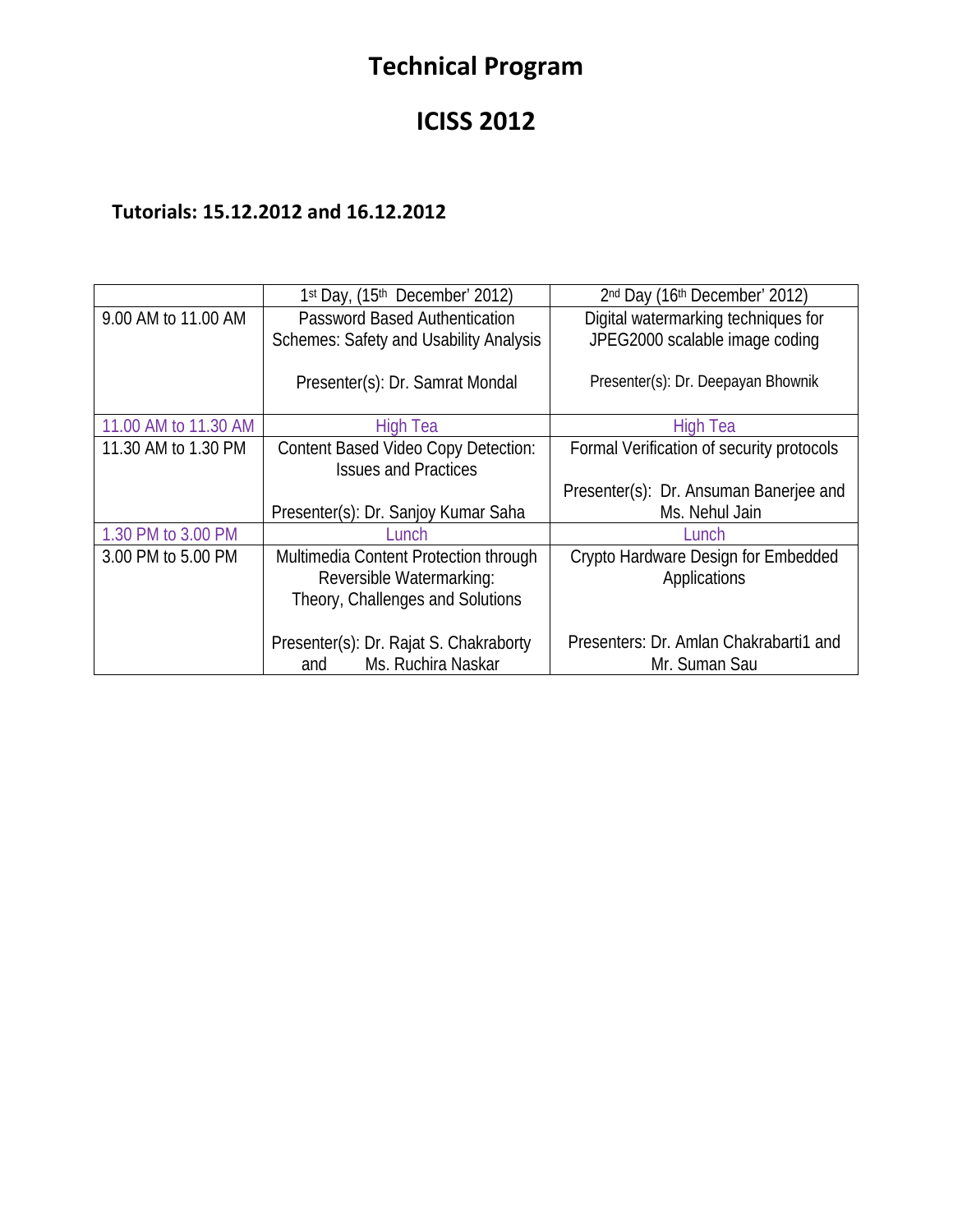# **Technical Program**

## **ICISS 2012**

## **Tutorials: 15.12.2012 and 16.12.2012**

|                      | 1st Day, (15th December' 2012)                                      | 2nd Day (16th December' 2012)                           |
|----------------------|---------------------------------------------------------------------|---------------------------------------------------------|
| 9.00 AM to 11.00 AM  | <b>Password Based Authentication</b>                                | Digital watermarking techniques for                     |
|                      | <b>Schemes: Safety and Usability Analysis</b>                       | JPEG2000 scalable image coding                          |
|                      | Presenter(s): Dr. Samrat Mondal                                     | Presenter(s): Dr. Deepayan Bhownik                      |
| 11.00 AM to 11.30 AM | <b>High Tea</b>                                                     | <b>High Tea</b>                                         |
| 11.30 AM to 1.30 PM  | <b>Content Based Video Copy Detection:</b>                          | Formal Verification of security protocols               |
|                      | <b>Issues and Practices</b>                                         |                                                         |
|                      |                                                                     | Presenter(s): Dr. Ansuman Banerjee and                  |
|                      | Presenter(s): Dr. Sanjoy Kumar Saha                                 | Ms. Nehul Jain                                          |
| 1.30 PM to 3.00 PM   | l unch.                                                             | Lunch                                                   |
| 3.00 PM to 5.00 PM   | Multimedia Content Protection through                               | Crypto Hardware Design for Embedded                     |
|                      | Reversible Watermarking:                                            | Applications                                            |
|                      | Theory, Challenges and Solutions                                    |                                                         |
|                      | Presenter(s): Dr. Rajat S. Chakraborty<br>Ms. Ruchira Naskar<br>and | Presenters: Dr. Amlan Chakrabarti1 and<br>Mr. Suman Sau |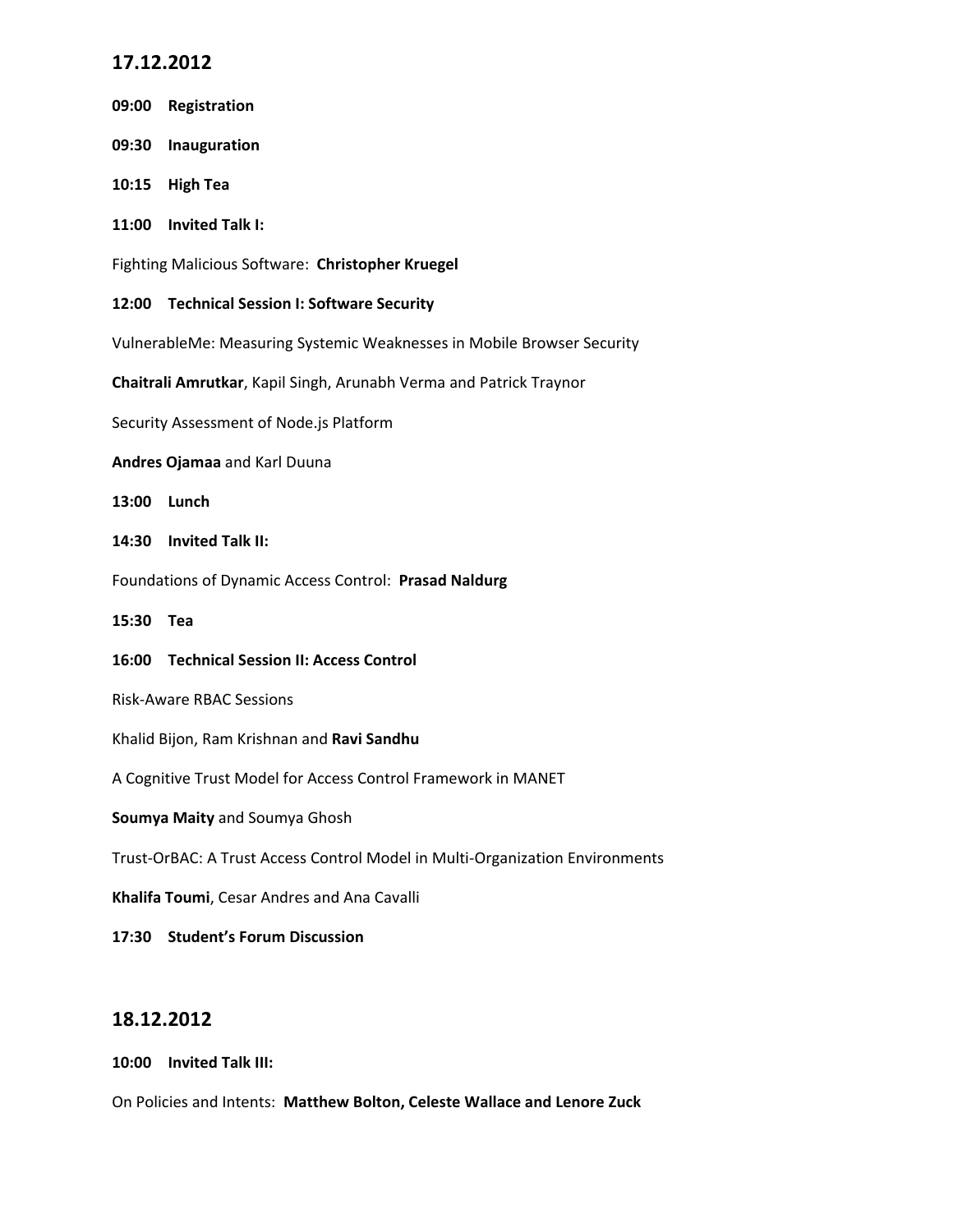## **17.12.2012**

| 09:00                                                                        | Registration                                 |  |
|------------------------------------------------------------------------------|----------------------------------------------|--|
| 09:30                                                                        | Inauguration                                 |  |
| 10:15                                                                        | <b>High Tea</b>                              |  |
| 11:00                                                                        | <b>Invited Talk I:</b>                       |  |
| Fighting Malicious Software: Christopher Kruegel                             |                                              |  |
|                                                                              | 12:00 Technical Session I: Software Security |  |
| VulnerableMe: Measuring Systemic Weaknesses in Mobile Browser Security       |                                              |  |
| Chaitrali Amrutkar, Kapil Singh, Arunabh Verma and Patrick Traynor           |                                              |  |
| Security Assessment of Node.js Platform                                      |                                              |  |
| Andres Ojamaa and Karl Duuna                                                 |                                              |  |
| 13:00                                                                        | Lunch                                        |  |
| 14:30                                                                        | <b>Invited Talk II:</b>                      |  |
| Foundations of Dynamic Access Control: Prasad Naldurg                        |                                              |  |
| 15:30 Tea                                                                    |                                              |  |
| 16:00                                                                        | <b>Technical Session II: Access Control</b>  |  |
| <b>Risk-Aware RBAC Sessions</b>                                              |                                              |  |
| Khalid Bijon, Ram Krishnan and Ravi Sandhu                                   |                                              |  |
| A Cognitive Trust Model for Access Control Framework in MANET                |                                              |  |
| Soumya Maity and Soumya Ghosh                                                |                                              |  |
| Trust-OrBAC: A Trust Access Control Model in Multi-Organization Environments |                                              |  |
| Khalifa Toumi, Cesar Andres and Ana Cavalli                                  |                                              |  |
|                                                                              | 17:30 Student's Forum Discussion             |  |

### **18.12.2012**

**10:00 Invited Talk III:** 

On Policies and Intents: **Matthew Bolton, Celeste Wallace and Lenore Zuck**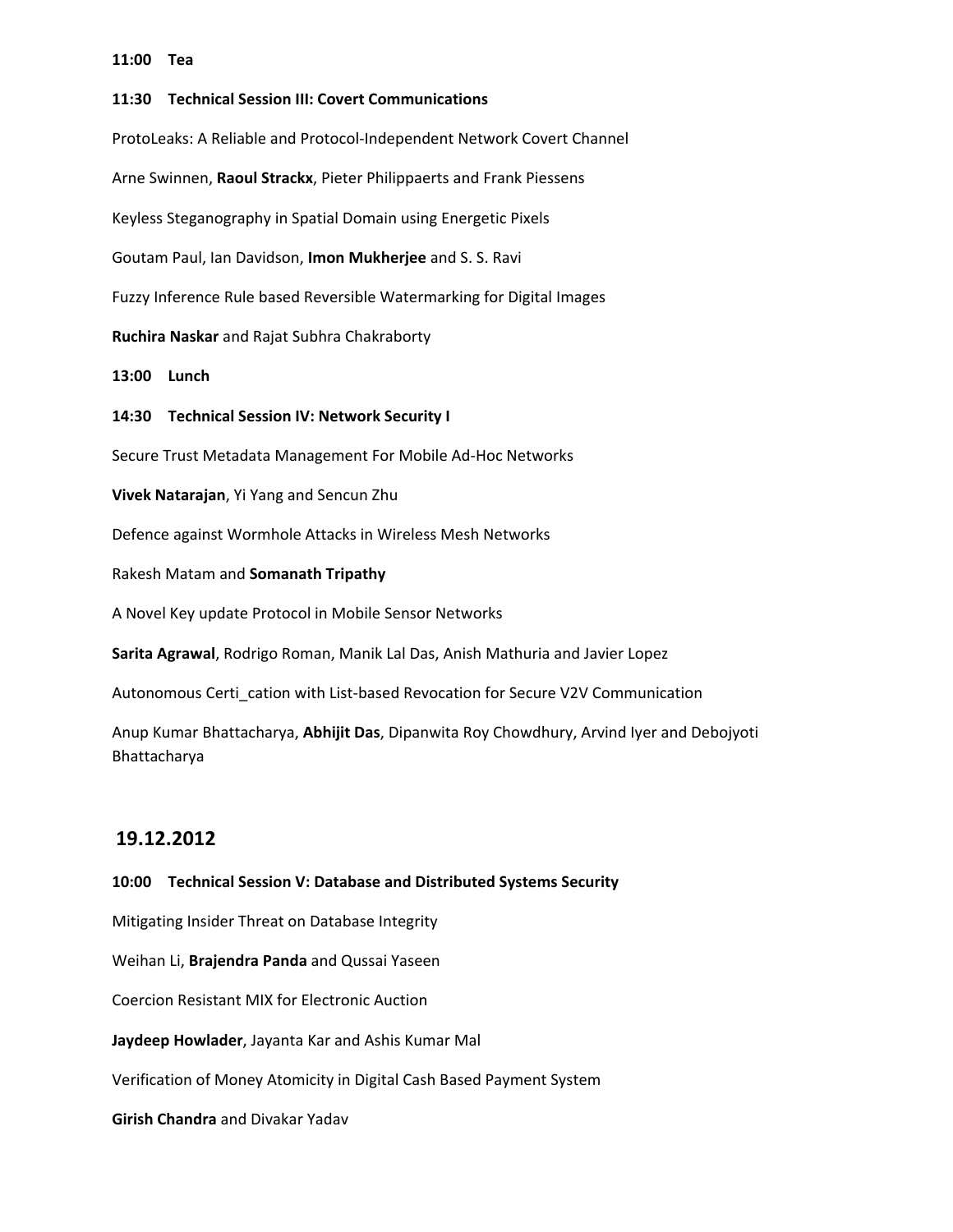#### **11:00 Tea**

**11:30 Technical Session III: Covert Communications** ProtoLeaks: A Reliable and Protocol‐Independent Network Covert Channel Arne Swinnen, **Raoul Strackx**, Pieter Philippaerts and Frank Piessens Keyless Steganography in Spatial Domain using Energetic Pixels Goutam Paul, Ian Davidson, **Imon Mukherjee** and S. S. Ravi Fuzzy Inference Rule based Reversible Watermarking for Digital Images **Ruchira Naskar** and Rajat Subhra Chakraborty **13:00 Lunch 14:30 Technical Session IV: Network Security I** Secure Trust Metadata Management For Mobile Ad‐Hoc Networks **Vivek Natarajan**, Yi Yang and Sencun Zhu Defence against Wormhole Attacks in Wireless Mesh Networks Rakesh Matam and **Somanath Tripathy** A Novel Key update Protocol in Mobile Sensor Networks **Sarita Agrawal**, Rodrigo Roman, Manik Lal Das, Anish Mathuria and Javier Lopez Autonomous Certi\_cation with List‐based Revocation for Secure V2V Communication Anup Kumar Bhattacharya, **Abhijit Das**, Dipanwita Roy Chowdhury, Arvind Iyer and Debojyoti

#### **19.12.2012**

Bhattacharya

#### **10:00 Technical Session V: Database and Distributed Systems Security**

Mitigating Insider Threat on Database Integrity

Weihan Li, **Brajendra Panda** and Qussai Yaseen

Coercion Resistant MIX for Electronic Auction

**Jaydeep Howlader**, Jayanta Kar and Ashis Kumar Mal

Verification of Money Atomicity in Digital Cash Based Payment System

**Girish Chandra** and Divakar Yadav